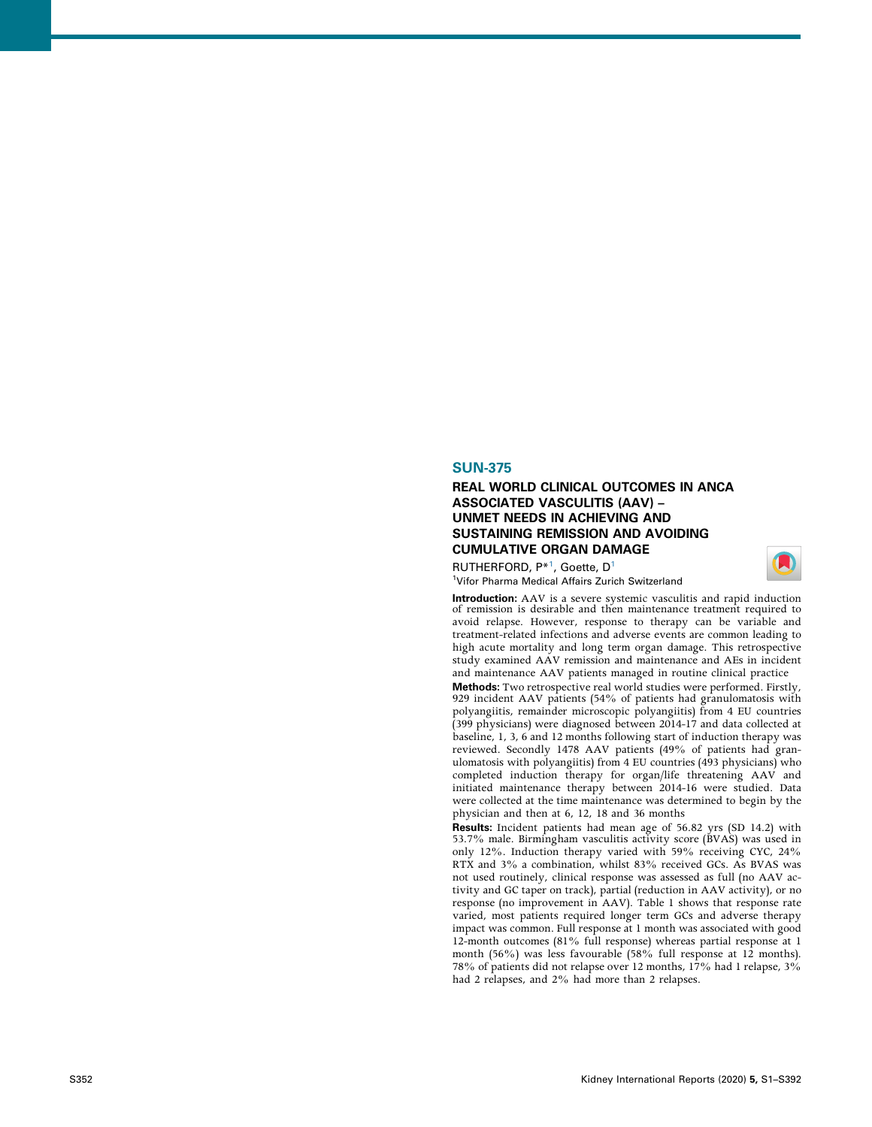## SUN-375

## REAL WORLD CLINICAL OUTCOMES IN ANCA ASSOCIATED VASCULITIS (AAV) – UNMET NEEDS IN ACHIEVING AND SUSTAINING REMISSION AND AVOIDING CUMULATIVE ORGAN DAMAGE

RUTHERFORD, P\*<sup>[1](#page-0-0)</sup>, Goette, D<sup>1</sup> <sup>1</sup>Vifor Pharma Medical Affairs Zurich Switzerland



<span id="page-0-0"></span>Introduction: AAV is a severe systemic vasculitis and rapid induction of remission is desirable and then maintenance treatment required to avoid relapse. However, response to therapy can be variable and treatment-related infections and adverse events are common leading to high acute mortality and long term organ damage. This retrospective study examined AAV remission and maintenance and AEs in incident and maintenance AAV patients managed in routine clinical practice

Methods: Two retrospective real world studies were performed. Firstly, 929 incident AAV patients (54% of patients had granulomatosis with polyangiitis, remainder microscopic polyangiitis) from 4 EU countries (399 physicians) were diagnosed between 2014-17 and data collected at baseline, 1, 3, 6 and 12 months following start of induction therapy was reviewed. Secondly 1478 AAV patients (49% of patients had granulomatosis with polyangiitis) from 4 EU countries (493 physicians) who completed induction therapy for organ/life threatening AAV and initiated maintenance therapy between 2014-16 were studied. Data were collected at the time maintenance was determined to begin by the physician and then at 6, 12, 18 and 36 months

Results: Incident patients had mean age of 56.82 yrs (SD 14.2) with 53.7% male. Birmingham vasculitis activity score (BVAS) was used in only 12%. Induction therapy varied with 59% receiving CYC, 24% RTX and 3% a combination, whilst 83% received GCs. As BVAS was not used routinely, clinical response was assessed as full (no AAV activity and GC taper on track), partial (reduction in AAV activity), or no response (no improvement in AAV). Table 1 shows that response rate varied, most patients required longer term GCs and adverse therapy impact was common. Full response at 1 month was associated with good 12-month outcomes (81% full response) whereas partial response at 1 month (56%) was less favourable (58% full response at 12 months). 78% of patients did not relapse over 12 months, 17% had 1 relapse, 3% had 2 relapses, and 2% had more than 2 relapses.